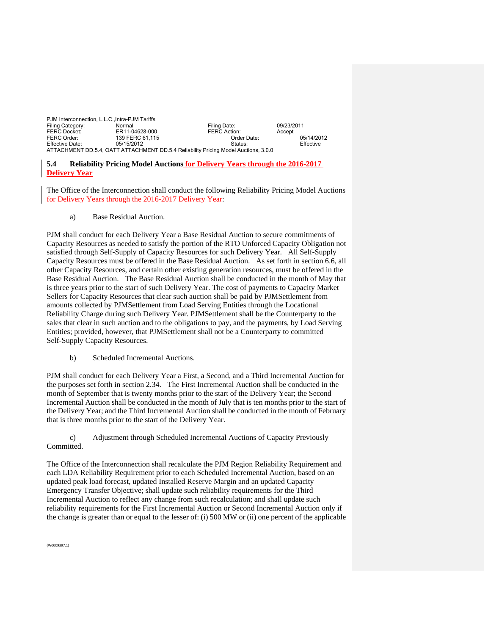| PJM Interconnection, L.L.C., Intra-PJM Tariffs                                      |                 |                     |            |            |
|-------------------------------------------------------------------------------------|-----------------|---------------------|------------|------------|
| Filing Category:                                                                    | Normal          | Filing Date:        | 09/23/2011 |            |
| <b>FERC Docket:</b>                                                                 | ER11-04628-000  | <b>FERC Action:</b> | Accept     |            |
| FERC Order:                                                                         | 139 FERC 61.115 | Order Date:         |            | 05/14/2012 |
| <b>Effective Date:</b>                                                              | 05/15/2012      | Status:             |            | Effective  |
| ATTACHMENT DD.5.4, OATT ATTACHMENT DD.5.4 Reliability Pricing Model Auctions, 3.0.0 |                 |                     |            |            |

## **5.4 Reliability Pricing Model Auctions for Delivery Years through the 2016-2017 Delivery Year**

The Office of the Interconnection shall conduct the following Reliability Pricing Model Auctions for Delivery Years through the 2016-2017 Delivery Year:

a) Base Residual Auction.

PJM shall conduct for each Delivery Year a Base Residual Auction to secure commitments of Capacity Resources as needed to satisfy the portion of the RTO Unforced Capacity Obligation not satisfied through Self-Supply of Capacity Resources for such Delivery Year. All Self-Supply Capacity Resources must be offered in the Base Residual Auction. As set forth in section 6.6, all other Capacity Resources, and certain other existing generation resources, must be offered in the Base Residual Auction. The Base Residual Auction shall be conducted in the month of May that is three years prior to the start of such Delivery Year. The cost of payments to Capacity Market Sellers for Capacity Resources that clear such auction shall be paid by PJMSettlement from amounts collected by PJMSettlement from Load Serving Entities through the Locational Reliability Charge during such Delivery Year. PJMSettlement shall be the Counterparty to the sales that clear in such auction and to the obligations to pay, and the payments, by Load Serving Entities; provided, however, that PJMSettlement shall not be a Counterparty to committed Self-Supply Capacity Resources.

b) Scheduled Incremental Auctions.

PJM shall conduct for each Delivery Year a First, a Second, and a Third Incremental Auction for the purposes set forth in section 2.34. The First Incremental Auction shall be conducted in the month of September that is twenty months prior to the start of the Delivery Year; the Second Incremental Auction shall be conducted in the month of July that is ten months prior to the start of the Delivery Year; and the Third Incremental Auction shall be conducted in the month of February that is three months prior to the start of the Delivery Year.

 c) Adjustment through Scheduled Incremental Auctions of Capacity Previously Committed.

The Office of the Interconnection shall recalculate the PJM Region Reliability Requirement and each LDA Reliability Requirement prior to each Scheduled Incremental Auction, based on an updated peak load forecast, updated Installed Reserve Margin and an updated Capacity Emergency Transfer Objective; shall update such reliability requirements for the Third Incremental Auction to reflect any change from such recalculation; and shall update such reliability requirements for the First Incremental Auction or Second Incremental Auction only if the change is greater than or equal to the lesser of: (i) 500 MW or (ii) one percent of the applicable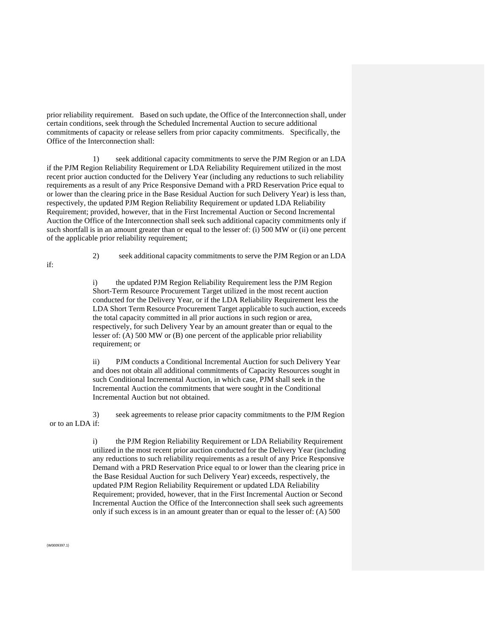prior reliability requirement. Based on such update, the Office of the Interconnection shall, under certain conditions, seek through the Scheduled Incremental Auction to secure additional commitments of capacity or release sellers from prior capacity commitments. Specifically, the Office of the Interconnection shall:

1) seek additional capacity commitments to serve the PJM Region or an LDA if the PJM Region Reliability Requirement or LDA Reliability Requirement utilized in the most recent prior auction conducted for the Delivery Year (including any reductions to such reliability requirements as a result of any Price Responsive Demand with a PRD Reservation Price equal to or lower than the clearing price in the Base Residual Auction for such Delivery Year) is less than, respectively, the updated PJM Region Reliability Requirement or updated LDA Reliability Requirement; provided, however, that in the First Incremental Auction or Second Incremental Auction the Office of the Interconnection shall seek such additional capacity commitments only if such shortfall is in an amount greater than or equal to the lesser of: (i) 500 MW or (ii) one percent of the applicable prior reliability requirement;

if:

2) seek additional capacity commitments to serve the PJM Region or an LDA

i) the updated PJM Region Reliability Requirement less the PJM Region Short-Term Resource Procurement Target utilized in the most recent auction conducted for the Delivery Year, or if the LDA Reliability Requirement less the LDA Short Term Resource Procurement Target applicable to such auction, exceeds the total capacity committed in all prior auctions in such region or area, respectively, for such Delivery Year by an amount greater than or equal to the lesser of: (A) 500 MW or (B) one percent of the applicable prior reliability requirement; or

ii) PJM conducts a Conditional Incremental Auction for such Delivery Year and does not obtain all additional commitments of Capacity Resources sought in such Conditional Incremental Auction, in which case, PJM shall seek in the Incremental Auction the commitments that were sought in the Conditional Incremental Auction but not obtained.

3) seek agreements to release prior capacity commitments to the PJM Region or to an LDA if:

> i) the PJM Region Reliability Requirement or LDA Reliability Requirement utilized in the most recent prior auction conducted for the Delivery Year (including any reductions to such reliability requirements as a result of any Price Responsive Demand with a PRD Reservation Price equal to or lower than the clearing price in the Base Residual Auction for such Delivery Year) exceeds, respectively, the updated PJM Region Reliability Requirement or updated LDA Reliability Requirement; provided, however, that in the First Incremental Auction or Second Incremental Auction the Office of the Interconnection shall seek such agreements only if such excess is in an amount greater than or equal to the lesser of: (A) 500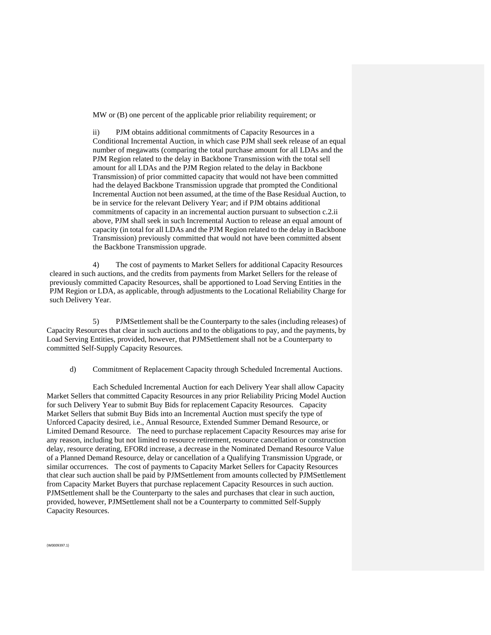MW or (B) one percent of the applicable prior reliability requirement; or

ii) PJM obtains additional commitments of Capacity Resources in a Conditional Incremental Auction, in which case PJM shall seek release of an equal number of megawatts (comparing the total purchase amount for all LDAs and the PJM Region related to the delay in Backbone Transmission with the total sell amount for all LDAs and the PJM Region related to the delay in Backbone Transmission) of prior committed capacity that would not have been committed had the delayed Backbone Transmission upgrade that prompted the Conditional Incremental Auction not been assumed, at the time of the Base Residual Auction, to be in service for the relevant Delivery Year; and if PJM obtains additional commitments of capacity in an incremental auction pursuant to subsection c.2.ii above, PJM shall seek in such Incremental Auction to release an equal amount of capacity (in total for all LDAs and the PJM Region related to the delay in Backbone Transmission) previously committed that would not have been committed absent the Backbone Transmission upgrade.

4) The cost of payments to Market Sellers for additional Capacity Resources cleared in such auctions, and the credits from payments from Market Sellers for the release of previously committed Capacity Resources, shall be apportioned to Load Serving Entities in the PJM Region or LDA, as applicable, through adjustments to the Locational Reliability Charge for such Delivery Year.

5) PJMSettlement shall be the Counterparty to the sales (including releases) of Capacity Resources that clear in such auctions and to the obligations to pay, and the payments, by Load Serving Entities, provided, however, that PJMSettlement shall not be a Counterparty to committed Self-Supply Capacity Resources.

d) Commitment of Replacement Capacity through Scheduled Incremental Auctions.

Each Scheduled Incremental Auction for each Delivery Year shall allow Capacity Market Sellers that committed Capacity Resources in any prior Reliability Pricing Model Auction for such Delivery Year to submit Buy Bids for replacement Capacity Resources. Capacity Market Sellers that submit Buy Bids into an Incremental Auction must specify the type of Unforced Capacity desired, i.e., Annual Resource, Extended Summer Demand Resource, or Limited Demand Resource. The need to purchase replacement Capacity Resources may arise for any reason, including but not limited to resource retirement, resource cancellation or construction delay, resource derating, EFORd increase, a decrease in the Nominated Demand Resource Value of a Planned Demand Resource, delay or cancellation of a Qualifying Transmission Upgrade, or similar occurrences. The cost of payments to Capacity Market Sellers for Capacity Resources that clear such auction shall be paid by PJMSettlement from amounts collected by PJMSettlement from Capacity Market Buyers that purchase replacement Capacity Resources in such auction. PJMSettlement shall be the Counterparty to the sales and purchases that clear in such auction, provided, however, PJMSettlement shall not be a Counterparty to committed Self-Supply Capacity Resources.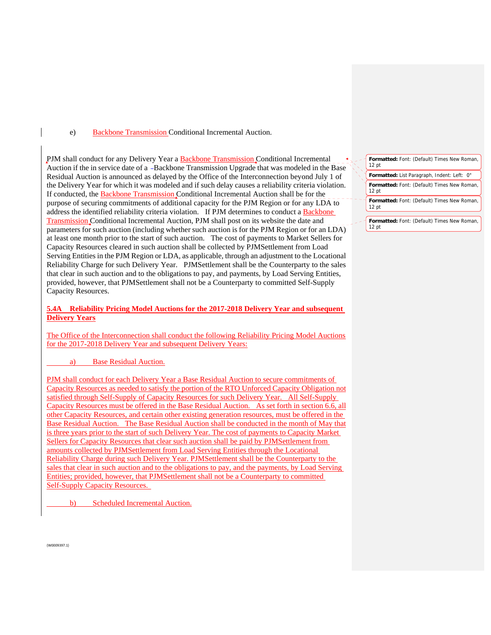e) Backbone Transmission Conditional Incremental Auction.

PJM shall conduct for any Delivery Year a Backbone Transmission Conditional Incremental Auction if the in service date of a -Backbone Transmission Upgrade that was modeled in the Base Residual Auction is announced as delayed by the Office of the Interconnection beyond July 1 of the Delivery Year for which it was modeled and if such delay causes a reliability criteria violation. If conducted, the Backbone Transmission Conditional Incremental Auction shall be for the purpose of securing commitments of additional capacity for the PJM Region or for any LDA to address the identified reliability criteria violation. If PJM determines to conduct a Backbone Transmission Conditional Incremental Auction, PJM shall post on its website the date and parameters for such auction (including whether such auction is for the PJM Region or for an LDA) at least one month prior to the start of such auction. The cost of payments to Market Sellers for Capacity Resources cleared in such auction shall be collected by PJMSettlement from Load Serving Entities in the PJM Region or LDA, as applicable, through an adjustment to the Locational Reliability Charge for such Delivery Year. PJMSettlement shall be the Counterparty to the sales that clear in such auction and to the obligations to pay, and payments, by Load Serving Entities, provided, however, that PJMSettlement shall not be a Counterparty to committed Self-Supply Capacity Resources.

## **5.4A Reliability Pricing Model Auctions for the 2017-2018 Delivery Year and subsequent Delivery Years**

The Office of the Interconnection shall conduct the following Reliability Pricing Model Auctions for the 2017-2018 Delivery Year and subsequent Delivery Years:

a) Base Residual Auction.

PJM shall conduct for each Delivery Year a Base Residual Auction to secure commitments of Capacity Resources as needed to satisfy the portion of the RTO Unforced Capacity Obligation not satisfied through Self-Supply of Capacity Resources for such Delivery Year. All Self-Supply Capacity Resources must be offered in the Base Residual Auction. As set forth in section 6.6, all other Capacity Resources, and certain other existing generation resources, must be offered in the Base Residual Auction. The Base Residual Auction shall be conducted in the month of May that is three years prior to the start of such Delivery Year. The cost of payments to Capacity Market Sellers for Capacity Resources that clear such auction shall be paid by PJMSettlement from amounts collected by PJMSettlement from Load Serving Entities through the Locational Reliability Charge during such Delivery Year. PJMSettlement shall be the Counterparty to the sales that clear in such auction and to the obligations to pay, and the payments, by Load Serving Entities; provided, however, that PJMSettlement shall not be a Counterparty to committed Self-Supply Capacity Resources.

Scheduled Incremental Auction.

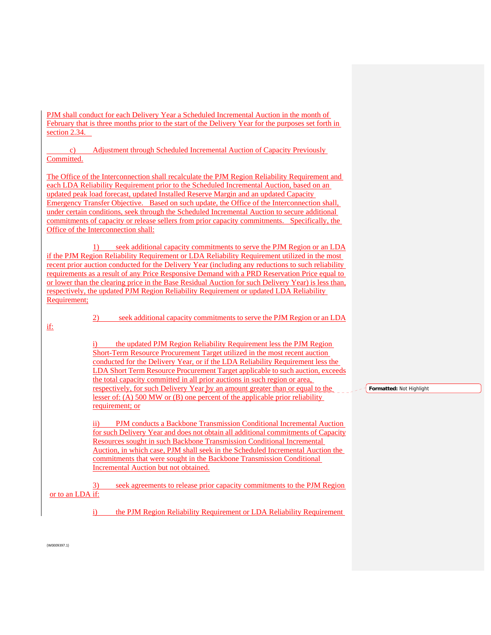PJM shall conduct for each Delivery Year a Scheduled Incremental Auction in the month of February that is three months prior to the start of the Delivery Year for the purposes set forth in section 2.34.

 c) Adjustment through Scheduled Incremental Auction of Capacity Previously Committed.

The Office of the Interconnection shall recalculate the PJM Region Reliability Requirement and each LDA Reliability Requirement prior to the Scheduled Incremental Auction, based on an updated peak load forecast, updated Installed Reserve Margin and an updated Capacity Emergency Transfer Objective. Based on such update, the Office of the Interconnection shall, under certain conditions, seek through the Scheduled Incremental Auction to secure additional commitments of capacity or release sellers from prior capacity commitments. Specifically, the Office of the Interconnection shall:

1) seek additional capacity commitments to serve the PJM Region or an LDA if the PJM Region Reliability Requirement or LDA Reliability Requirement utilized in the most recent prior auction conducted for the Delivery Year (including any reductions to such reliability requirements as a result of any Price Responsive Demand with a PRD Reservation Price equal to or lower than the clearing price in the Base Residual Auction for such Delivery Year) is less than, respectively, the updated PJM Region Reliability Requirement or updated LDA Reliability Requirement;

if:

2) seek additional capacity commitments to serve the PJM Region or an LDA

the updated PJM Region Reliability Requirement less the PJM Region Short-Term Resource Procurement Target utilized in the most recent auction conducted for the Delivery Year, or if the LDA Reliability Requirement less the LDA Short Term Resource Procurement Target applicable to such auction, exceeds the total capacity committed in all prior auctions in such region or area, respectively, for such Delivery Year by an amount greater than or equal to the lesser of: (A) 500 MW or (B) one percent of the applicable prior reliability requirement; or

ii) PJM conducts a Backbone Transmission Conditional Incremental Auction for such Delivery Year and does not obtain all additional commitments of Capacity Resources sought in such Backbone Transmission Conditional Incremental Auction, in which case, PJM shall seek in the Scheduled Incremental Auction the commitments that were sought in the Backbone Transmission Conditional Incremental Auction but not obtained.

3) seek agreements to release prior capacity commitments to the PJM Region or to an LDA if:

i) the PJM Region Reliability Requirement or LDA Reliability Requirement

**Formatted:** Not Highlight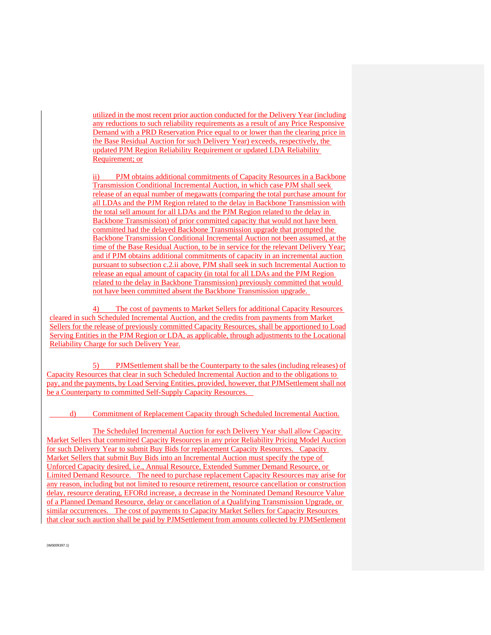utilized in the most recent prior auction conducted for the Delivery Year (including any reductions to such reliability requirements as a result of any Price Responsive Demand with a PRD Reservation Price equal to or lower than the clearing price in the Base Residual Auction for such Delivery Year) exceeds, respectively, the updated PJM Region Reliability Requirement or updated LDA Reliability Requirement; or

ii) PJM obtains additional commitments of Capacity Resources in a Backbone Transmission Conditional Incremental Auction, in which case PJM shall seek release of an equal number of megawatts (comparing the total purchase amount for all LDAs and the PJM Region related to the delay in Backbone Transmission with the total sell amount for all LDAs and the PJM Region related to the delay in Backbone Transmission) of prior committed capacity that would not have been committed had the delayed Backbone Transmission upgrade that prompted the Backbone Transmission Conditional Incremental Auction not been assumed, at the time of the Base Residual Auction, to be in service for the relevant Delivery Year; and if PJM obtains additional commitments of capacity in an incremental auction pursuant to subsection c.2.ii above, PJM shall seek in such Incremental Auction to release an equal amount of capacity (in total for all LDAs and the PJM Region related to the delay in Backbone Transmission) previously committed that would not have been committed absent the Backbone Transmission upgrade.

4) The cost of payments to Market Sellers for additional Capacity Resources cleared in such Scheduled Incremental Auction, and the credits from payments from Market Sellers for the release of previously committed Capacity Resources, shall be apportioned to Load Serving Entities in the PJM Region or LDA, as applicable, through adjustments to the Locational Reliability Charge for such Delivery Year.

5) PJMSettlement shall be the Counterparty to the sales (including releases) of Capacity Resources that clear in such Scheduled Incremental Auction and to the obligations to pay, and the payments, by Load Serving Entities, provided, however, that PJMSettlement shall not be a Counterparty to committed Self-Supply Capacity Resources.

d) Commitment of Replacement Capacity through Scheduled Incremental Auction.

The Scheduled Incremental Auction for each Delivery Year shall allow Capacity Market Sellers that committed Capacity Resources in any prior Reliability Pricing Model Auction for such Delivery Year to submit Buy Bids for replacement Capacity Resources. Capacity Market Sellers that submit Buy Bids into an Incremental Auction must specify the type of Unforced Capacity desired, i.e., Annual Resource, Extended Summer Demand Resource, or Limited Demand Resource. The need to purchase replacement Capacity Resources may arise for any reason, including but not limited to resource retirement, resource cancellation or construction delay, resource derating, EFORd increase, a decrease in the Nominated Demand Resource Value of a Planned Demand Resource, delay or cancellation of a Qualifying Transmission Upgrade, or similar occurrences. The cost of payments to Capacity Market Sellers for Capacity Resources that clear such auction shall be paid by PJMSettlement from amounts collected by PJMSettlement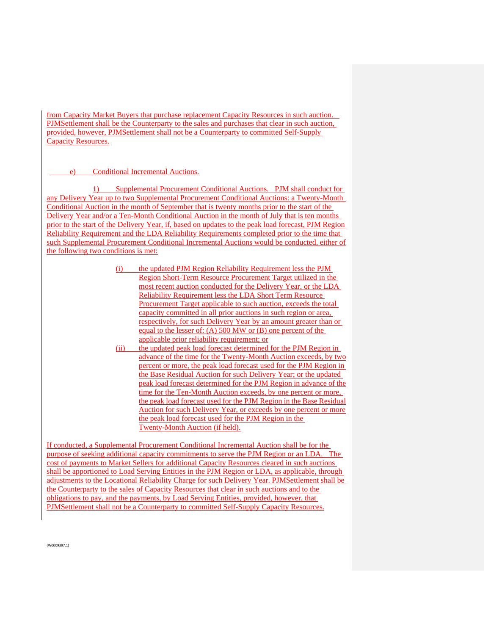from Capacity Market Buyers that purchase replacement Capacity Resources in such auction. PJMSettlement shall be the Counterparty to the sales and purchases that clear in such auction, provided, however, PJMSettlement shall not be a Counterparty to committed Self-Supply Capacity Resources.

## e) Conditional Incremental Auctions.

{W0009397.1}

1) Supplemental Procurement Conditional Auctions. PJM shall conduct for any Delivery Year up to two Supplemental Procurement Conditional Auctions: a Twenty-Month Conditional Auction in the month of September that is twenty months prior to the start of the Delivery Year and/or a Ten-Month Conditional Auction in the month of July that is ten months prior to the start of the Delivery Year, if, based on updates to the peak load forecast, PJM Region Reliability Requirement and the LDA Reliability Requirements completed prior to the time that such Supplemental Procurement Conditional Incremental Auctions would be conducted, either of the following two conditions is met:

- (i) the updated PJM Region Reliability Requirement less the PJM Region Short-Term Resource Procurement Target utilized in the most recent auction conducted for the Delivery Year, or the LDA Reliability Requirement less the LDA Short Term Resource Procurement Target applicable to such auction, exceeds the total capacity committed in all prior auctions in such region or area, respectively, for such Delivery Year by an amount greater than or equal to the lesser of: (A) 500 MW or (B) one percent of the applicable prior reliability requirement; or
- (ii) the updated peak load forecast determined for the PJM Region in advance of the time for the Twenty-Month Auction exceeds, by two percent or more, the peak load forecast used for the PJM Region in the Base Residual Auction for such Delivery Year; or the updated peak load forecast determined for the PJM Region in advance of the time for the Ten-Month Auction exceeds, by one percent or more, the peak load forecast used for the PJM Region in the Base Residual Auction for such Delivery Year, or exceeds by one percent or more the peak load forecast used for the PJM Region in the Twenty-Month Auction (if held).

If conducted, a Supplemental Procurement Conditional Incremental Auction shall be for the purpose of seeking additional capacity commitments to serve the PJM Region or an LDA. The cost of payments to Market Sellers for additional Capacity Resources cleared in such auctions shall be apportioned to Load Serving Entities in the PJM Region or LDA, as applicable, through adjustments to the Locational Reliability Charge for such Delivery Year. PJMSettlement shall be the Counterparty to the sales of Capacity Resources that clear in such auctions and to the obligations to pay, and the payments, by Load Serving Entities, provided, however, that PJMSettlement shall not be a Counterparty to committed Self-Supply Capacity Resources.